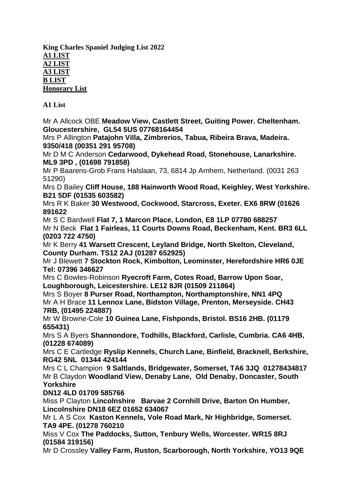**King Charles Spaniel Judging List 2022 A1 LIST A2 LIST A3 LIST B LIST Honorary List**

**A1 List**

Mr A [Allcock](https://www.thekennelclub.org.uk/search/find-a-judge/judge-profile/judge-appointment/?JudgeId=26775ddb-7049-e911-a8ac-00224800449b&SelectedBreed=31ccb970-1b73-e911-a886-00224800492f) OBE **Meadow View, Castlett Street, Guiting Power. Cheltenham. Gloucestershire, GL54 5US 07768164454**

Mrs P [Allington](https://www.thekennelclub.org.uk/search/find-a-judge/judge-profile/judge-appointment/?JudgeId=88c01b9b-9bca-ea11-a812-000d3a86d6ba&SelectedBreed=31ccb970-1b73-e911-a886-00224800492f) **Patajohn Villa, Zimbrerios, Tabua, Ribeira Brava, Madeira. 9350/418 (00351 291 95708)**

Mr D M C [Anderson](https://www.thekennelclub.org.uk/search/find-a-judge/judge-profile/judge-appointment/?JudgeId=72a93779-6f49-e911-a8a6-002248005556&SelectedBreed=31ccb970-1b73-e911-a886-00224800492f) **Cedarwood, Dykehead Road, Stonehouse, Lanarkshire. ML9 3PD , (01698 791858)** 

Mr P [Baarens-Grob](https://www.thekennelclub.org.uk/search/find-a-judge/judge-profile/judge-appointment/?JudgeId=9c32370e-2a5d-e911-a885-00224800492f&SelectedBreed=31ccb970-1b73-e911-a886-00224800492f) Frans Halslaan, 73, 6814 Jp Arnhem, Netherland. (0031 263 51290)

Mrs D [Bailey](https://www.thekennelclub.org.uk/search/find-a-judge/judge-profile/judge-appointment/?JudgeId=860671c5-fb72-eb11-a812-0022481a638a&SelectedBreed=31ccb970-1b73-e911-a886-00224800492f) **Cliff House, 188 Hainworth Wood Road, Keighley, West Yorkshire. B21 5DF (01535 603582)**

Mrs R K [Baker](https://www.thekennelclub.org.uk/search/find-a-judge/judge-profile/judge-appointment/?JudgeId=6d51643f-7a11-eb11-a813-0022481a64e8&SelectedBreed=31ccb970-1b73-e911-a886-00224800492f) **30 Westwood, Cockwood, Starcross, Exeter. EX6 8RW (01626 891622**

Mr S C [Bardwell](https://www.thekennelclub.org.uk/search/find-a-judge/judge-profile/judge-appointment/?JudgeId=29b483ba-7049-e911-a8ac-002248005544&SelectedBreed=31ccb970-1b73-e911-a886-00224800492f) **Flat 7, 1 Marcon Place, London, E8 1LP 07780 688257**

Mr N [Beck](https://www.thekennelclub.org.uk/search/find-a-judge/judge-profile/judge-appointment/?JudgeId=a2a9662e-6e49-e911-a8ac-002248005544&SelectedBreed=31ccb970-1b73-e911-a886-00224800492f) **Flat 1 Fairleas, 11 Courts Downs Road, Beckenham, Kent. BR3 6LL (0203 722 4750)**

Mr K [Berry](https://www.thekennelclub.org.uk/search/find-a-judge/judge-profile/judge-appointment/?JudgeId=68defcd2-2d5d-e911-a8a7-002248005556&SelectedBreed=31ccb970-1b73-e911-a886-00224800492f) **41 Warsett Crescent, Leyland Bridge, North Skelton, Cleveland, County Durham. TS12 2AJ (01287 652925)**

Mr J [Blewett](https://www.thekennelclub.org.uk/search/find-a-judge/judge-profile/judge-appointment/?JudgeId=c4886d57-7249-e911-a8ac-002248005544&SelectedBreed=31ccb970-1b73-e911-a886-00224800492f) **7 Stockton Rock, Kimbolton, Leominster, Herefordshire HR6 0JE Tel: 07396 346627**

Mrs C [Bowles-Robinson](https://www.thekennelclub.org.uk/search/find-a-judge/judge-profile/judge-appointment/?JudgeId=9e227034-6519-eb11-a813-0022481a64e8&SelectedBreed=31ccb970-1b73-e911-a886-00224800492f) **Ryecroft Farm, Cotes Road, Barrow Upon Soar, Loughborough, Leicestershire. LE12 8JR (01509 211864)**

Mrs S [Boyer](https://www.thekennelclub.org.uk/search/find-a-judge/judge-profile/judge-appointment/?JudgeId=ec47120f-6b0a-eb11-a813-000d3a86d6ba&SelectedBreed=31ccb970-1b73-e911-a886-00224800492f) **8 Purser Road, Northampton, Northamptonshire, NN1 4PQ** Mr A H [Brace](https://www.thekennelclub.org.uk/search/find-a-judge/judge-profile/judge-appointment/?JudgeId=ed6b5366-4b5e-eb11-a812-0022481a4777&SelectedBreed=31ccb970-1b73-e911-a886-00224800492f) **11 Lennox Lane, Bidston Village, Prenton, Merseyside. CH43 7RB, (01495 224887)**

Mr W [Browne-Cole](https://www.thekennelclub.org.uk/search/find-a-judge/judge-profile/judge-appointment/?JudgeId=7489a929-6e49-e911-a885-00224800492f&SelectedBreed=31ccb970-1b73-e911-a886-00224800492f) **10 Guinea Lane, Fishponds, Bristol. BS16 2HB. (01179 655431)**

Mrs S A [Byers](https://www.thekennelclub.org.uk/search/find-a-judge/judge-profile/judge-appointment/?JudgeId=a7e55c74-0c4d-eb11-a812-000d3a86dabf&SelectedBreed=31ccb970-1b73-e911-a886-00224800492f) **Shannondore, Todhills, Blackford, Carlisle, Cumbria. CA6 4HB, (01228 674089)**

Mrs C E [Cartledge](https://www.thekennelclub.org.uk/search/find-a-judge/judge-profile/judge-appointment/?JudgeId=c07f91ab-5b35-eb11-a813-0022481a79ad&SelectedBreed=31ccb970-1b73-e911-a886-00224800492f) **Ryslip Kennels, Church Lane, Binfield, Bracknell, Berkshire, RG42 5NL 01344 424144**

Mrs C L [Champion](https://www.thekennelclub.org.uk/search/find-a-judge/judge-profile/judge-appointment/?JudgeId=7ba10379-1ef1-ea11-a815-000d3a86d545&SelectedBreed=31ccb970-1b73-e911-a886-00224800492f) **9 Saltlands, Bridgewater, Somerset, TA6 3JQ 01278434817** Mr B [Claydon](https://www.thekennelclub.org.uk/search/find-a-judge/judge-profile/judge-appointment/?JudgeId=3bffb13f-385d-e911-a8af-002248004c4b&SelectedBreed=31ccb970-1b73-e911-a886-00224800492f) **Woodland View, Denaby Lane, Old Denaby, Doncaster, South Yorkshire**

## **DN12 4LD 01709 585766**

Miss P [Clayton](https://www.thekennelclub.org.uk/search/find-a-judge/judge-profile/judge-appointment/?JudgeId=2e1410d4-e35a-e911-a8ac-00224800449b&SelectedBreed=31ccb970-1b73-e911-a886-00224800492f) **Lincolnshire Barvae 2 Cornhill Drive, Barton On Humber, Lincolnshire DN18 6EZ 01652 634067**

Mr L A S [Cox](https://www.thekennelclub.org.uk/search/find-a-judge/judge-profile/judge-appointment/?JudgeId=85d8622d-c503-eb11-a813-000d3a86d6ba&SelectedBreed=31ccb970-1b73-e911-a886-00224800492f) **Kaston Kennels, Vole Road Mark, Nr Highbridge, Somerset. TA9 4PE. (01278 760210**

[Miss](https://www.thekennelclub.org.uk/search/find-a-judge/judge-profile/judge-appointment/?JudgeId=957ddce7-0304-eb11-a813-0022480078c7&SelectedBreed=31ccb970-1b73-e911-a886-00224800492f) V Cox **The Paddocks, Sutton, Tenbury Wells, Worcester. WR15 8RJ (01584 319156)**

Mr D [Crossley](https://www.thekennelclub.org.uk/search/find-a-judge/judge-profile/judge-appointment/?JudgeId=92e8b503-3c5d-e911-a8af-002248004c4b&SelectedBreed=31ccb970-1b73-e911-a886-00224800492f) **Valley Farm, Ruston, Scarborough, North Yorkshire, YO13 9QE**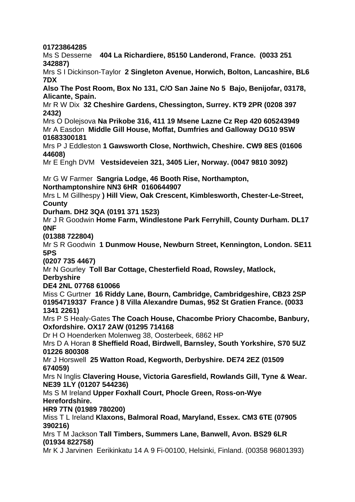#### **01723864285**

Ms S [Desserne](https://www.thekennelclub.org.uk/search/find-a-judge/judge-profile/?judgeId=51b0d920-3f5d-e911-a8af-002248004c4b) **404 La Richardiere, 85150 Landerond, France. (0033 251 342887)**

Mrs S I [Dickinson-Taylor](https://www.thekennelclub.org.uk/search/find-a-judge/judge-profile/?judgeId=5c8a76b9-6f49-e911-a8ac-002248005544) **2 Singleton Avenue, Horwich, Bolton, Lancashire, BL6 7DX**

**Also The Post Room, Box No 131, C/O San Jaine No 5 Bajo, Benijofar, 03178, Alicante, Spain.**

Mr R W [Dix](https://www.thekennelclub.org.uk/search/find-a-judge/judge-profile/judge-appointment/?JudgeId=4f32949e-3f5d-e911-a8aa-002248005489&SelectedBreed=31ccb970-1b73-e911-a886-00224800492f) **32 Cheshire Gardens, Chessington, Surrey. KT9 2PR (0208 397 2432)**

Mrs O [Dolejsova](https://www.thekennelclub.org.uk/search/find-a-judge/judge-profile/judge-appointment/?JudgeId=71e67cf2-fdce-e911-a812-000d3a86d756&SelectedBreed=31ccb970-1b73-e911-a886-00224800492f) **Na Prikobe 316, 411 19 Msene Lazne Cz Rep 420 605243949** Mr A [Easdon](https://www.thekennelclub.org.uk/search/find-a-judge/judge-profile/judge-appointment/?JudgeId=96eb4765-6e49-e911-a8a6-002248005556&SelectedBreed=31ccb970-1b73-e911-a886-00224800492f) **Middle Gill House, Moffat, Dumfries and Galloway DG10 9SW 01683300181**

Mrs P J [Eddleston](https://www.thekennelclub.org.uk/search/find-a-judge/judge-profile/judge-appointment/?JudgeId=393580c4-7349-e911-a8aa-002248005489&SelectedBreed=31ccb970-1b73-e911-a886-00224800492f) **1 Gawsworth Close, Northwich, Cheshire. CW9 8ES (01606 44608)**

Mr E [Engh](https://www.thekennelclub.org.uk/search/find-a-judge/judge-profile/judge-appointment/?JudgeId=ef4bf9c6-6f49-e911-a8a6-002248005556&SelectedBreed=31ccb970-1b73-e911-a886-00224800492f) DVM **Vestsideveien 321, 3405 Lier, Norway. (0047 9810 3092)**

Mr G W [Farmer](https://www.thekennelclub.org.uk/search/find-a-judge/judge-profile/judge-appointment/?JudgeId=e71767f2-7b0c-eb11-a813-000d3a86d545&SelectedBreed=31ccb970-1b73-e911-a886-00224800492f) **Sangria Lodge, 46 Booth Rise, Northampton, Northamptonshire NN3 6HR 0160644907**

Mrs L M [Gillhespy](https://www.thekennelclub.org.uk/search/find-a-judge/judge-profile/judge-appointment/?JudgeId=bf3be4cb-6f49-e911-a8aa-002248005489&SelectedBreed=31ccb970-1b73-e911-a886-00224800492f) **) Hill View, Oak Crescent, Kimblesworth, Chester-Le-Street, County** 

**Durham. DH2 3QA (0191 371 1523)**

Mr J R [Goodwin](https://www.thekennelclub.org.uk/search/find-a-judge/judge-profile/judge-appointment/?JudgeId=3f3f1f23-110b-eb11-a813-000d3a86dabf&SelectedBreed=31ccb970-1b73-e911-a886-00224800492f) **Home Farm, Windlestone Park Ferryhill, County Durham. DL17 0NF**

#### **(01388 722804)**

Mr S R [Goodwin](https://www.thekennelclub.org.uk/search/find-a-judge/judge-profile/judge-appointment/?JudgeId=914915e0-7149-e911-a885-00224800492f&SelectedBreed=31ccb970-1b73-e911-a886-00224800492f) **1 Dunmow House, Newburn Street, Kennington, London. SE11 5PS**

**(0207 735 4467)**

Mr N [Gourley](https://www.thekennelclub.org.uk/search/find-a-judge/judge-profile/judge-appointment/?JudgeId=3375b261-f004-eb11-a813-000d3a86dabf&SelectedBreed=31ccb970-1b73-e911-a886-00224800492f) **Toll Bar Cottage, Chesterfield Road, Rowsley, Matlock,**

**Derbyshire**

**DE4 2NL 07768 610066**

Miss C [Gurtner](https://www.thekennelclub.org.uk/search/find-a-judge/judge-profile/judge-appointment/?JudgeId=464836ad-235d-e911-a8a7-002248005556&SelectedBreed=31ccb970-1b73-e911-a886-00224800492f) **16 Riddy Lane, Bourn, Cambridge, Cambridgeshire, CB23 2SP 01954719337 France ) 8 Villa Alexandre Dumas, 952 St Gratien France. (0033 1341 2261)**

Mrs P S [Healy-Gates](https://www.thekennelclub.org.uk/search/find-a-judge/judge-profile/judge-appointment/?JudgeId=1748a4fb-275d-e911-a8ac-002248005544&SelectedBreed=31ccb970-1b73-e911-a886-00224800492f) **The Coach House, Chacombe Priory Chacombe, Banbury, Oxfordshire. OX17 2AW (01295 714168**

Dr H O [Hoenderken](https://www.thekennelclub.org.uk/search/find-a-judge/judge-profile/judge-appointment/?JudgeId=70d350be-9cca-ea11-a812-000d3a86dabf&SelectedBreed=31ccb970-1b73-e911-a886-00224800492f) Molenweg 38, Oosterbeek, 6862 HP

Mrs D A [Horan](https://www.thekennelclub.org.uk/search/find-a-judge/judge-profile/judge-appointment/?JudgeId=517055c9-7449-e911-a8ac-00224800449b&SelectedBreed=31ccb970-1b73-e911-a886-00224800492f) **8 Sheffield Road, Birdwell, Barnsley, South Yorkshire, S70 5UZ 01226 800308**

Mr J [Horswell](https://www.thekennelclub.org.uk/search/find-a-judge/judge-profile/judge-appointment/?JudgeId=81d4f892-7149-e911-a8af-002248004c4b&SelectedBreed=31ccb970-1b73-e911-a886-00224800492f) **25 Watton Road, Kegworth, Derbyshire. DE74 2EZ (01509 674059)**

Mrs N [Inglis](https://www.thekennelclub.org.uk/search/find-a-judge/judge-profile/judge-appointment/?JudgeId=8a4bea53-712a-eb11-a813-000d3a86d6ba&SelectedBreed=31ccb970-1b73-e911-a886-00224800492f) **Clavering House, Victoria Garesfield, Rowlands Gill, Tyne & Wear. NE39 1LY (01207 544236)**

Ms S M [Ireland](https://www.thekennelclub.org.uk/search/find-a-judge/judge-profile/judge-appointment/?JudgeId=242f1e17-f303-eb11-a813-000d3a86d6ba&SelectedBreed=31ccb970-1b73-e911-a886-00224800492f) **Upper Foxhall Court, Phocle Green, Ross-on-Wye Herefordshire.** 

**HR9 7TN (01989 780200)**

Miss T L [Ireland](https://www.thekennelclub.org.uk/search/find-a-judge/judge-profile/judge-appointment/?JudgeId=9f3d4172-7349-e911-a8a6-002248005556&SelectedBreed=31ccb970-1b73-e911-a886-00224800492f) **Klaxons, Balmoral Road, Maryland, Essex. CM3 6TE (07905 390216)**

Mrs T M [Jackson](https://www.thekennelclub.org.uk/search/find-a-judge/judge-profile/judge-appointment/?JudgeId=3199582a-c503-eb11-a813-0022481a79ad&SelectedBreed=31ccb970-1b73-e911-a886-00224800492f) **Tall Timbers, Summers Lane, Banwell, Avon. BS29 6LR (01934 822758)**

Mr K J [Jarvinen](https://www.thekennelclub.org.uk/search/find-a-judge/judge-profile/judge-appointment/?JudgeId=eddfced5-3b5d-e911-a8ac-00224800449b&SelectedBreed=31ccb970-1b73-e911-a886-00224800492f) Eerikinkatu 14 A 9 Fi-00100, Helsinki, Finland. (00358 96801393)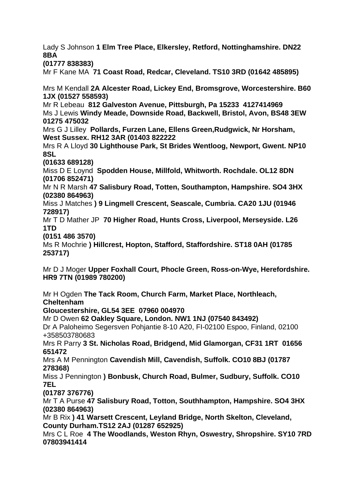Lady S [Johnson](https://www.thekennelclub.org.uk/search/find-a-judge/judge-profile/?judgeId=45e458b2-7249-e911-a8af-002248004c4b) **1 Elm Tree Place, Elkersley, Retford, Nottinghamshire. DN22 8BA** 

**(01777 838383)**

Mr F [Kane](https://www.thekennelclub.org.uk/search/find-a-judge/judge-profile/judge-appointment/?JudgeId=1c19131f-435d-e911-a8ac-00224800449b&SelectedBreed=31ccb970-1b73-e911-a886-00224800492f) MA **71 Coast Road, Redcar, Cleveland. TS10 3RD (01642 485895)**

Mrs M [Kendall](https://www.thekennelclub.org.uk/search/find-a-judge/judge-profile/judge-appointment/?JudgeId=df2c6b86-330a-eb11-a813-0022481a64e8&SelectedBreed=31ccb970-1b73-e911-a886-00224800492f) **2A Alcester Road, Lickey End, Bromsgrove, Worcestershire. B60 1JX (01527 558593)**

Mr R [Lebeau](https://www.thekennelclub.org.uk/search/find-a-judge/judge-profile/?judgeId=7993cec1-265d-e911-a885-00224800492f) **812 Galveston Avenue, Pittsburgh, Pa 15233 4127414969** Ms J [Lewis](https://www.thekennelclub.org.uk/search/find-a-judge/judge-profile/judge-appointment/?JudgeId=5efdddcb-490b-eb11-a813-000d3a86d716&SelectedBreed=31ccb970-1b73-e911-a886-00224800492f) **Windy Meade, Downside Road, Backwell, Bristol, Avon, BS48 3EW 01275 475032**

Mrs G J [Lilley](https://www.thekennelclub.org.uk/search/find-a-judge/judge-profile/judge-appointment/?JudgeId=a509b54b-7049-e911-a8ac-00224800449b&SelectedBreed=31ccb970-1b73-e911-a886-00224800492f) **Pollards, Furzen Lane, Ellens Green,Rudgwick, Nr Horsham, West Sussex. RH12 3AR (01403 822222**

Mrs R A [Lloyd](https://www.thekennelclub.org.uk/search/find-a-judge/judge-profile/judge-appointment/?JudgeId=ef8d935b-7049-e911-a8af-002248004c4b&SelectedBreed=31ccb970-1b73-e911-a886-00224800492f) **30 Lighthouse Park, St Brides Wentloog, Newport, Gwent. NP10 8SL**

**(01633 689128)**

Miss D E [Loynd](https://www.thekennelclub.org.uk/search/find-a-judge/judge-profile/judge-appointment/?JudgeId=a4cc84f2-ec59-e911-a8ac-002248005544&SelectedBreed=31ccb970-1b73-e911-a886-00224800492f) **Spodden House, Millfold, Whitworth. Rochdale. OL12 8DN (01706 852471)**

Mr N R [Marsh](https://www.thekennelclub.org.uk/search/find-a-judge/judge-profile/judge-appointment/?JudgeId=cc8bbca3-20f1-ea11-a815-000d3a86dabf&SelectedBreed=31ccb970-1b73-e911-a886-00224800492f) **47 Salisbury Road, Totten, Southampton, Hampshire. SO4 3HX (02380 864963)**

Miss J [Matches](https://www.thekennelclub.org.uk/search/find-a-judge/judge-profile/judge-appointment/?JudgeId=1d1f30ca-340d-eb11-a813-0022481a79ad&SelectedBreed=31ccb970-1b73-e911-a886-00224800492f) **) 9 Lingmell Crescent, Seascale, Cumbria. CA20 1JU (01946 728917)**

Mr T D [Mather](https://www.thekennelclub.org.uk/search/find-a-judge/judge-profile/judge-appointment/?JudgeId=e8d99ee3-6d49-e911-a8ac-00224800449b&SelectedBreed=31ccb970-1b73-e911-a886-00224800492f) JP **70 Higher Road, Hunts Cross, Liverpool, Merseyside. L26 1TD**

**(0151 486 3570)**

Ms R [Mochrie](https://www.thekennelclub.org.uk/search/find-a-judge/judge-profile/judge-appointment/?JudgeId=3005035b-9dca-ea11-a812-000d3a86dabf&SelectedBreed=31ccb970-1b73-e911-a886-00224800492f) **) Hillcrest, Hopton, Stafford, Staffordshire. ST18 0AH (01785 253717)**

Mr D J [Moger](https://www.thekennelclub.org.uk/search/find-a-judge/judge-profile/judge-appointment/?JudgeId=05e82aee-7249-e911-a8af-002248004c4b&SelectedBreed=31ccb970-1b73-e911-a886-00224800492f) **Upper Foxhall Court, Phocle Green, Ross-on-Wye, Herefordshire. HR9 7TN (01989 780200)**

Mr H [Ogden](https://www.thekennelclub.org.uk/search/find-a-judge/judge-profile/judge-appointment/?JudgeId=43a02e6d-7449-e911-a8af-002248004c4b&SelectedBreed=31ccb970-1b73-e911-a886-00224800492f) **The Tack Room, Church Farm, Market Place, Northleach, Cheltenham**

**Gloucestershire, GL54 3EE 07960 004970**

Mr D [Owen](https://www.thekennelclub.org.uk/search/find-a-judge/judge-profile/?judgeId=e83fbc45-7049-e911-a8ac-00224800449b) **62 Oakley Square, London. NW1 1NJ (07540 843492)**

Dr A Paloheimo [Segersven](https://www.thekennelclub.org.uk/search/find-a-judge/judge-profile/judge-appointment/?JudgeId=fde84f4e-7449-e911-a885-00224800492f&SelectedBreed=31ccb970-1b73-e911-a886-00224800492f) Pohjantie 8-10 A20, FI-02100 Espoo, Finland, 02100 +358503780683

Mrs R [Parry](https://www.thekennelclub.org.uk/search/find-a-judge/judge-profile/judge-appointment/?JudgeId=a03f1f69-7149-e911-a8af-002248004c4b&SelectedBreed=31ccb970-1b73-e911-a886-00224800492f) **3 St. Nicholas Road, Bridgend, Mid Glamorgan, CF31 1RT 01656 651472**

Mrs A M [Pennington](https://www.thekennelclub.org.uk/search/find-a-judge/judge-profile/judge-appointment/?JudgeId=e7b08dc9-7249-e911-a8aa-002248005489&SelectedBreed=31ccb970-1b73-e911-a886-00224800492f) **Cavendish Mill, Cavendish, Suffolk. CO10 8BJ (01787 278368)**

Miss J [Pennington](https://www.thekennelclub.org.uk/search/find-a-judge/judge-profile/judge-appointment/?JudgeId=9c3c4afb-6e49-e911-a8a6-002248005556&SelectedBreed=31ccb970-1b73-e911-a886-00224800492f) **) Bonbusk, Church Road, Bulmer, Sudbury, Suffolk. CO10 7EL**

## **(01787 376776)**

Mr T A [Purse](https://www.thekennelclub.org.uk/search/find-a-judge/judge-profile/judge-appointment/?JudgeId=5f8dab7c-a516-eb11-a813-000d3a86d756&SelectedBreed=31ccb970-1b73-e911-a886-00224800492f) **47 Salisbury Road, Totton, Southhampton, Hampshire. SO4 3HX (02380 864963)**

Mr B [Rix](https://www.thekennelclub.org.uk/search/find-a-judge/judge-profile/judge-appointment/?JudgeId=93b691db-9e94-eb11-b1ac-000d3a870046&SelectedBreed=31ccb970-1b73-e911-a886-00224800492f) **) 41 Warsett Crescent, Leyland Bridge, North Skelton, Cleveland, County Durham.TS12 2AJ (01287 652925)**

Mrs C L [Roe](https://www.thekennelclub.org.uk/search/find-a-judge/judge-profile/judge-appointment/?JudgeId=cc5c5532-3b2f-eb11-a813-000d3a86d756&SelectedBreed=31ccb970-1b73-e911-a886-00224800492f) **4 The Woodlands, Weston Rhyn, Oswestry, Shropshire. SY10 7RD 07803941414**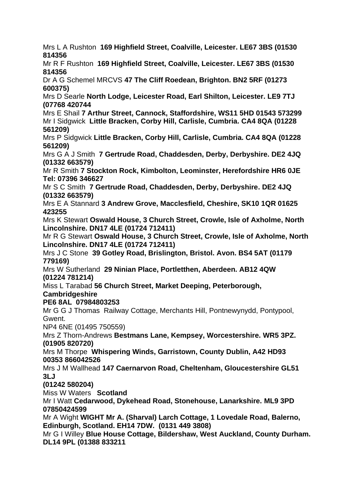Mrs L A [Rushton](https://www.thekennelclub.org.uk/search/find-a-judge/judge-profile/judge-appointment/?JudgeId=bbbea1d8-e959-e911-a885-00224800492f&SelectedBreed=31ccb970-1b73-e911-a886-00224800492f) **169 Highfield Street, Coalville, Leicester. LE67 3BS (01530 814356**

Mr R F [Rushton](https://www.thekennelclub.org.uk/search/find-a-judge/judge-profile/judge-appointment/?JudgeId=b276763f-545d-e911-a8ac-002248005544&SelectedBreed=31ccb970-1b73-e911-a886-00224800492f) **169 Highfield Street, Coalville, Leicester. LE67 3BS (01530 814356**

Dr A G [Schemel](https://www.thekennelclub.org.uk/search/find-a-judge/judge-profile/judge-appointment/?JudgeId=f362f40f-7249-e911-a885-00224800492f&SelectedBreed=31ccb970-1b73-e911-a886-00224800492f) MRCVS **47 The Cliff Roedean, Brighton. BN2 5RF (01273 600375)**

Mrs D [Searle](https://www.thekennelclub.org.uk/search/find-a-judge/judge-profile/judge-appointment/?JudgeId=47b5b422-a634-eb11-a813-000d3a86dabf&SelectedBreed=31ccb970-1b73-e911-a886-00224800492f) **North Lodge, Leicester Road, Earl Shilton, Leicester. LE9 7TJ (07768 420744**

Mrs E [Shail](https://www.thekennelclub.org.uk/search/find-a-judge/judge-profile/judge-appointment/?JudgeId=a4b6d870-565d-e911-a8af-002248004c4b&SelectedBreed=31ccb970-1b73-e911-a886-00224800492f) **7 Arthur Street, Cannock, Staffordshire, WS11 5HD 01543 573299** Mr I [Sidgwick](https://www.thekennelclub.org.uk/search/find-a-judge/judge-profile/judge-appointment/?JudgeId=dfe542df-e959-e911-a8ac-00224800449b&SelectedBreed=31ccb970-1b73-e911-a886-00224800492f) **Little Bracken, Corby Hill, Carlisle, Cumbria. CA4 8QA (01228 561209)**

Mrs P [Sidgwick](https://www.thekennelclub.org.uk/search/find-a-judge/judge-profile/judge-appointment/?JudgeId=ac521045-a117-eb11-a813-0022481a79ad&SelectedBreed=31ccb970-1b73-e911-a886-00224800492f) **Little Bracken, Corby Hill, Carlisle, Cumbria. CA4 8QA (01228 561209)**

Mrs G A J [Smith](https://www.thekennelclub.org.uk/search/find-a-judge/judge-profile/judge-appointment/?JudgeId=c44545db-e959-e911-a8af-002248004c4b&SelectedBreed=31ccb970-1b73-e911-a886-00224800492f) **7 Gertrude Road, Chaddesden, Derby, Derbyshire. DE2 4JQ (01332 663579)**

Mr R [Smith](https://www.thekennelclub.org.uk/search/find-a-judge/judge-profile/judge-appointment/?JudgeId=e14d99de-e959-e911-a885-00224800492f&SelectedBreed=31ccb970-1b73-e911-a886-00224800492f) **7 Stockton Rock, Kimbolton, Leominster, Herefordshire HR6 0JE Tel: 07396 346627**

Mr S C [Smith](https://www.thekennelclub.org.uk/search/find-a-judge/judge-profile/judge-appointment/?JudgeId=580dd69a-595d-e911-a885-00224800492f&SelectedBreed=31ccb970-1b73-e911-a886-00224800492f) **7 Gertrude Road, Chaddesden, Derby, Derbyshire. DE2 4JQ (01332 663579)**

Mrs E A [Stannard](https://www.thekennelclub.org.uk/search/find-a-judge/judge-profile/judge-appointment/?JudgeId=5c87bf26-6f49-e911-a8ac-00224800449b&SelectedBreed=31ccb970-1b73-e911-a886-00224800492f) **3 Andrew Grove, Macclesfield, Cheshire, SK10 1QR 01625 423255**

Mrs K [Stewart](https://www.thekennelclub.org.uk/search/find-a-judge/judge-profile/judge-appointment/?JudgeId=6a66409a-5b5d-e911-a885-00224800492f&SelectedBreed=31ccb970-1b73-e911-a886-00224800492f) **Oswald House, 3 Church Street, Crowle, Isle of Axholme, North Lincolnshire. DN17 4LE (01724 712411)**

Mr R G [Stewart](https://www.thekennelclub.org.uk/search/find-a-judge/judge-profile/judge-appointment/?JudgeId=3ddf0dfd-9dca-ea11-a812-000d3a86dabf&SelectedBreed=31ccb970-1b73-e911-a886-00224800492f) **Oswald House, 3 Church Street, Crowle, Isle of Axholme, North Lincolnshire. DN17 4LE (01724 712411)**

Mrs J C [Stone](https://www.thekennelclub.org.uk/search/find-a-judge/judge-profile/judge-appointment/?JudgeId=545c3ae7-5b5d-e911-a8ac-00224800449b&SelectedBreed=31ccb970-1b73-e911-a886-00224800492f) **39 Gotley Road, Brislington, Bristol. Avon. BS4 5AT (01179 779169)**

Mrs W [Sutherland](https://www.thekennelclub.org.uk/search/find-a-judge/judge-profile/judge-appointment/?JudgeId=342b59e6-7149-e911-a8aa-002248005489&SelectedBreed=31ccb970-1b73-e911-a886-00224800492f) **29 Ninian Place, Portletthen, Aberdeen. AB12 4QW (01224 781214)**

Miss L [Tarabad](https://www.thekennelclub.org.uk/search/find-a-judge/judge-profile/judge-appointment/?JudgeId=dc2399e9-4d03-eb11-a813-0022481a79ad&SelectedBreed=31ccb970-1b73-e911-a886-00224800492f) **56 Church Street, Market Deeping, Peterborough, Cambridgeshire**

**PE6 8AL 07984803253**

Mr G G J [Thomas](https://www.thekennelclub.org.uk/search/find-a-judge/judge-profile/judge-appointment/?JudgeId=760f6897-7049-e911-a885-00224800492f&SelectedBreed=31ccb970-1b73-e911-a886-00224800492f) Railway Cottage, Merchants Hill, Pontnewynydd, Pontypool, Gwent.

NP4 6NE (01495 750559)

Mrs Z [Thorn-Andrews](https://www.thekennelclub.org.uk/search/find-a-judge/judge-profile/judge-appointment/?JudgeId=8921943c-df3a-eb11-a813-0022481ac02f&SelectedBreed=31ccb970-1b73-e911-a886-00224800492f) **Bestmans Lane, Kempsey, Worcestershire. WR5 3PZ. (01905 820720)**

Mrs M [Thorpe](https://www.thekennelclub.org.uk/search/find-a-judge/judge-profile/?judgeId=8fa77985-7049-e911-a8af-002248004c4b) **Whispering Winds, Garristown, County Dublin, A42 HD93 00353 866042526**

Mrs J M [Wallhead](https://www.thekennelclub.org.uk/search/find-a-judge/judge-profile/judge-appointment/?JudgeId=fef8a3c2-1c0e-eb11-a813-0022481a6c66&SelectedBreed=31ccb970-1b73-e911-a886-00224800492f) **147 Caernarvon Road, Cheltenham, Gloucestershire GL51 3LJ** 

## **(01242 580204)**

Miss W [Waters](https://www.thekennelclub.org.uk/search/find-a-judge/judge-profile/judge-appointment/?JudgeId=4ecfd407-cd0a-eb11-a813-000d3a86d716&SelectedBreed=31ccb970-1b73-e911-a886-00224800492f) **Scotland**

Mr I [Watt](https://www.thekennelclub.org.uk/search/find-a-judge/judge-profile/judge-appointment/?JudgeId=ce67c380-a503-eb11-a813-0022481a64e8&SelectedBreed=31ccb970-1b73-e911-a886-00224800492f) **Cedarwood, Dykehead Road, Stonehouse, Lanarkshire. ML9 3PD 07850424599** 

Mr A [Wight](https://www.thekennelclub.org.uk/search/find-a-judge/judge-profile/judge-appointment/?JudgeId=ef1858cf-8a49-e911-a8af-002248004c4b&SelectedBreed=31ccb970-1b73-e911-a886-00224800492f) **WIGHT Mr A. (Sharval) Larch Cottage, 1 Lovedale Road, Balerno, Edinburgh, Scotland. EH14 7DW. (0131 449 3808)**

Mr G I [Willey](https://www.thekennelclub.org.uk/search/find-a-judge/judge-profile/judge-appointment/?JudgeId=1341979c-0e04-eb11-a813-000d3a86dabf&SelectedBreed=31ccb970-1b73-e911-a886-00224800492f) **Blue House Cottage, Bildershaw, West Auckland, County Durham. DL14 9PL (01388 833211**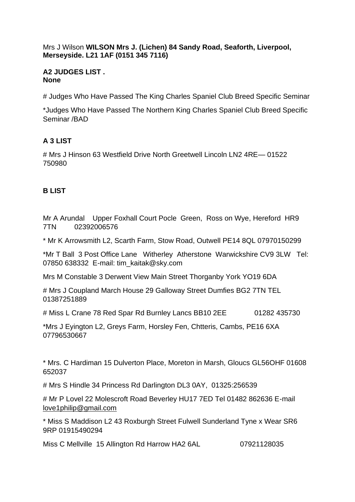#### Mrs J [Wilson](https://www.thekennelclub.org.uk/search/find-a-judge/judge-profile/judge-appointment/?JudgeId=9f8fee58-7349-e911-a8aa-002248005489&SelectedBreed=31ccb970-1b73-e911-a886-00224800492f) **WILSON Mrs J. (Lichen) 84 Sandy Road, Seaforth, Liverpool, Merseyside. L21 1AF (0151 345 7116)**

#### **A2 JUDGES LIST . None**

# Judges Who Have Passed The King Charles Spaniel Club Breed Specific Seminar

\*Judges Who Have Passed The Northern King Charles Spaniel Club Breed Specific Seminar /BAD

# **A 3 LIST**

# Mrs J Hinson 63 Westfield Drive North Greetwell Lincoln LN2 4RE— 01522 750980

# **B LIST**

Mr A Arundal Upper Foxhall Court Pocle Green, Ross on Wye, Hereford HR9 7TN 02392006576

\* Mr K Arrowsmith L2, Scarth Farm, Stow Road, Outwell PE14 8QL 07970150299

\*Mr T Ball 3 Post Office Lane Witherley Atherstone Warwickshire CV9 3LW Tel: 07850 638332 E-mail: tim\_kaitak@sky.com

Mrs M Constable 3 Derwent View Main Street Thorganby York YO19 6DA

# Mrs J Coupland March House 29 Galloway Street Dumfies BG2 7TN TEL 01387251889

# Miss L Crane 78 Red Spar Rd Burnley Lancs BB10 2EE 01282 435730

\*Mrs J Eyington L2, Greys Farm, Horsley Fen, Chtteris, Cambs, PE16 6XA 07796530667

\* Mrs. C Hardiman 15 Dulverton Place, Moreton in Marsh, Gloucs GL56OHF 01608 652037

# Mrs S Hindle 34 Princess Rd Darlington DL3 0AY, 01325:256539

# Mr P Lovel 22 Molescroft Road Beverley HU17 7ED Tel 01482 862636 E-mail [love1philip@gmail.com](mailto:love1philip@gmail.com)

\* Miss S Maddison L2 43 Roxburgh Street Fulwell Sunderland Tyne x Wear SR6 9RP 01915490294

Miss C Mellville 15 Allington Rd Harrow HA2 6AL 07921128035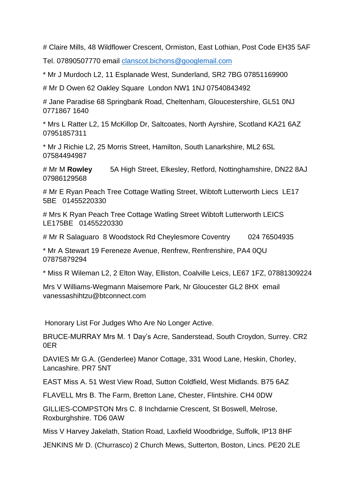# Claire Mills, 48 Wildflower Crescent, Ormiston, East Lothian, Post Code EH35 5AF

Tel. 07890507770 email [clanscot.bichons@googlemail.com](mailto:clanscot.bichons@googlemail.com)

\* Mr J Murdoch L2, 11 Esplanade West, Sunderland, SR2 7BG 07851169900

# Mr D Owen 62 Oakley Square London NW1 1NJ 07540843492

# Jane Paradise 68 Springbank Road, Cheltenham, Gloucestershire, GL51 0NJ 0771867 1640

\* Mrs L Ratter L2, 15 McKillop Dr, Saltcoates, North Ayrshire, Scotland KA21 6AZ 07951857311

\* Mr J Richie L2, 25 Morris Street, Hamilton, South Lanarkshire, ML2 6SL 07584494987

# Mr M **[Rowley](https://www.facebook.com/1348073811/)** 5A High Street, Elkesley, Retford, Nottinghamshire, DN22 8AJ 07986129568

# Mr E Ryan Peach Tree Cottage Watling Street, Wibtoft Lutterworth Liecs LE17 5BE 01455220330

# Mrs K Ryan Peach Tree Cottage Watling Street Wibtoft Lutterworth LEICS LE175BE 01455220330

# Mr R Salaguaro 8 Woodstock Rd Cheylesmore Coventry 024 76504935

\* Mr A Stewart 19 Fereneze Avenue, Renfrew, Renfrenshire, PA4 0QU 07875879294

\* Miss R Wileman L2, 2 Elton Way, Elliston, Coalville Leics, LE67 1FZ, 07881309224

Mrs V Williams-Wegmann Maisemore Park, Nr Gloucester GL2 8HX email vanessashihtzu@btconnect.com

Honorary List For Judges Who Are No Longer Active.

BRUCE-MURRAY Mrs M. 1 Day's Acre, Sanderstead, South Croydon, Surrey. CR2 0ER

DAVIES Mr G.A. (Genderlee) Manor Cottage, 331 Wood Lane, Heskin, Chorley, Lancashire. PR7 5NT

EAST Miss A. 51 West View Road, Sutton Coldfield, West Midlands. B75 6AZ

FLAVELL Mrs B. The Farm, Bretton Lane, Chester, Flintshire. CH4 0DW

GILLIES-COMPSTON Mrs C. 8 Inchdarnie Crescent, St Boswell, Melrose, Roxburghshire. TD6 0AW

Miss V Harvey Jakelath, Station Road, Laxfield Woodbridge, Suffolk, IP13 8HF

JENKINS Mr D. (Churrasco) 2 Church Mews, Sutterton, Boston, Lincs. PE20 2LE